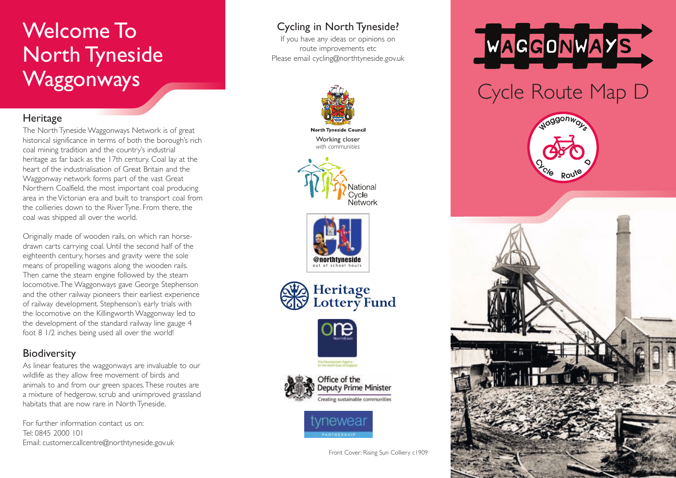## Welcome To North Tyneside **Waggonways**

## **Heritage**

The North Tyneside Waggonways Network is of great historical significance in terms of both the borough's rich coal mining tradition and the country's industrial heritage as far back as the 17th century. Coal lay at the heart of the industrialisation of Great Britain and the Waggonway network forms part of the vast Great Northern Coalfield, the most important coal producing area in the Victorian era and built to transport coal from the collieries down to the River Tyne. From there, the coal was shipped all over the world.

Originally made of wooden rails, on which ran horsedrawn carts carrying coal. Until the second half of the eighteenth century, horses and gravity were the sole means of propelling wagons along the wooden rails. Then came the steam engine followed by the steam locomotive.The Waggonways gave George Stephenson and the other railway pioneers their earliest experience of railway development. Stephenson's early trials with the locomotive on the Killingworth Waggonway led to the development of the standard railway line gauge 4 foot 8 1/2 inches being used all over the world!

## **Biodiversity**

As linear features the waggonways are invaluable to our wildlife as they allow free movement of birds and animals to and from our green spaces.These routes are a mixture of hedgerow, scrub and unimproved grassland habitats that are now rare in North Tyneside.

For further information contact us on: Tel: 0845 2000 101 Email: customer.callcentre@northtyneside.gov.uk

## Cycling in North Tyneside?

If you have any ideas or opinions on route improvements etc Please email cycling@northtyneside.gov.uk



**North Tyneside Council** Working closer *with communities*











Office of the **Deputy Prime Minister** Creating sustainable communities



Front Cover: Rising Sun Colliery c1909